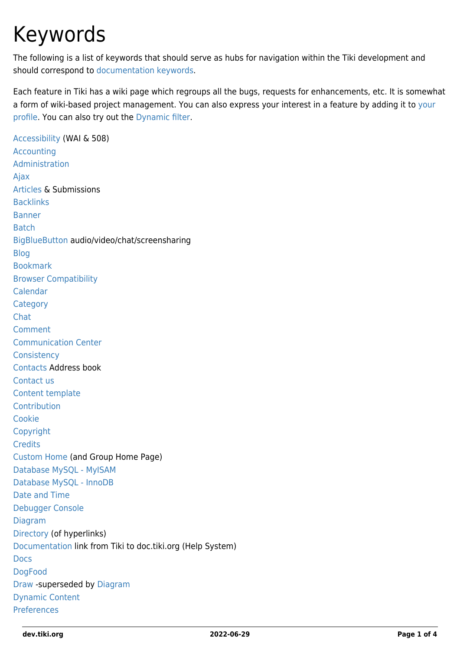## Keywords

The following is a list of keywords that should serve as hubs for navigation within the Tiki development and should correspond to [documentation keywords](http://doc.tiki.org/keywords).

Each feature in Tiki has a wiki page which regroups all the bugs, requests for enhancements, etc. It is somewhat a form of wiki-based project management. You can also express [your](https://dev.tiki.org/tiki-view_tracker_item.php?view=+user) interest in a feature by adding it to your [profile.](https://dev.tiki.org/tiki-view_tracker_item.php?view=+user) You can also try out the [Dynamic filter.](https://dev.tiki.org/Dynamic-Filter)

[Accessibility](https://dev.tiki.org/Accessibility) (WAI & 508) [Accounting](https://dev.tiki.org/Accounting) [Administration](https://dev.tiki.org/Administration) [Ajax](https://dev.tiki.org/Ajax) [Articles](https://dev.tiki.org/Articles) & Submissions **[Backlinks](https://dev.tiki.org/Backlinks)** [Banner](https://dev.tiki.org/Banner) [Batch](https://dev.tiki.org/Batch) [BigBlueButton](https://dev.tiki.org/BigBlueButton) audio/video/chat/screensharing [Blog](https://dev.tiki.org/Blog) [Bookmark](https://dev.tiki.org/Bookmark) [Browser Compatibility](https://dev.tiki.org/Browser-Compatibility) [Calendar](https://dev.tiki.org/Calendar) **[Category](https://dev.tiki.org/Category)** [Chat](https://dev.tiki.org/Chat) [Comment](https://dev.tiki.org/Comment) [Communication Center](https://dev.tiki.org/Communication%20Center) **[Consistency](https://dev.tiki.org/All-Consistency-bugs)** [Contacts](https://dev.tiki.org/Contacts) Address book [Contact us](https://dev.tiki.org/Contact-us) [Content template](https://dev.tiki.org/Content-template) **[Contribution](https://dev.tiki.org/Contribution)** [Cookie](https://dev.tiki.org/Cookie) [Copyright](https://dev.tiki.org/Copyright) **[Credits](https://dev.tiki.org/Credits)** [Custom Home](https://dev.tiki.org/Custom-Home) (and Group Home Page) [Database MySQL - MyISAM](https://dev.tiki.org/Database-MySQL) [Database MySQL - InnoDB](https://dev.tiki.org/ExperimentalBranches-InnoDB) [Date and Time](https://dev.tiki.org/Date-and-Time) [Debugger Console](https://dev.tiki.org/Debugger-Console) [Diagram](https://dev.tiki.org/Diagram) [Directory](https://dev.tiki.org/Directory) (of hyperlinks) [Documentation](https://dev.tiki.org/Documentation) link from Tiki to doc.tiki.org (Help System) [Docs](https://dev.tiki.org/Docs) [DogFood](https://dev.tiki.org/DogFood) [Draw](https://dev.tiki.org/Draw) -superseded by [Diagram](https://dev.tiki.org/Diagram) [Dynamic Content](https://dev.tiki.org/Dynamic-Content) [Preferences](https://dev.tiki.org/Preferences)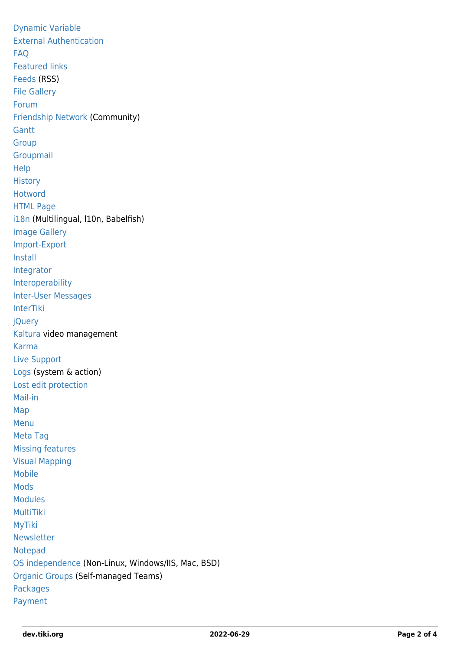[Dynamic Variable](https://dev.tiki.org/Dynamic-Variable) [External Authentication](https://dev.tiki.org/External-Authentication) [FAQ](https://dev.tiki.org/Faq) [Featured links](https://dev.tiki.org/Featured-links) [Feeds](https://dev.tiki.org/Feeds) (RSS) [File Gallery](https://dev.tiki.org/File-Gallery) [Forum](https://dev.tiki.org/Forum) [Friendship Network](https://dev.tiki.org/Friendship-Network) (Community) **[Gantt](https://dev.tiki.org/jQuery-Gantt-editor) [Group](https://dev.tiki.org/Group)** [Groupmail](https://dev.tiki.org/GroupMail) [Help](https://dev.tiki.org/Help) **[History](https://dev.tiki.org/History) [Hotword](https://dev.tiki.org/Hotword)** [HTML Page](https://dev.tiki.org/HTML-Page) [i18n](https://dev.tiki.org/i18n) (Multilingual, l10n, Babelfish) [Image Gallery](https://dev.tiki.org/Image-Gallery) [Import-Export](https://dev.tiki.org/Import-Export) [Install](https://dev.tiki.org/Install) [Integrator](https://dev.tiki.org/Integrator) [Interoperability](https://dev.tiki.org/Interoperability) [Inter-User Messages](https://dev.tiki.org/Inter-User-Messages) [InterTiki](https://dev.tiki.org/InterTiki) [jQuery](https://dev.tiki.org/jQuery) [Kaltura](https://dev.tiki.org/Kaltura) video management [Karma](https://dev.tiki.org/Karma) [Live Support](https://dev.tiki.org/Live-Support) [Logs](https://dev.tiki.org/Logs) (system & action) [Lost edit protection](https://dev.tiki.org/Lost-edit-protection) [Mail-in](https://dev.tiki.org/Mail-in) [Map](https://dev.tiki.org/Map) [Menu](https://dev.tiki.org/Menu) [Meta Tag](https://dev.tiki.org/Meta-Tag) [Missing features](https://dev.tiki.org/Major-Features-Missing-In-Tiki) [Visual Mapping](https://dev.tiki.org/Visual-Mapping) [Mobile](https://dev.tiki.org/Mobile) [Mods](https://dev.tiki.org/Mods) [Modules](https://dev.tiki.org/Modules) **[MultiTiki](https://dev.tiki.org/MultiTiki)** [MyTiki](https://dev.tiki.org/MyTiki) [Newsletter](https://dev.tiki.org/Newsletter) [Notepad](https://dev.tiki.org/Notepad) [OS independence](https://dev.tiki.org/Operating-System-independence) (Non-Linux, Windows/IIS, Mac, BSD) [Organic Groups](https://dev.tiki.org/Organic-Groups) (Self-managed Teams) [Packages](https://dev.tiki.org/Packages) [Payment](https://dev.tiki.org/Payment)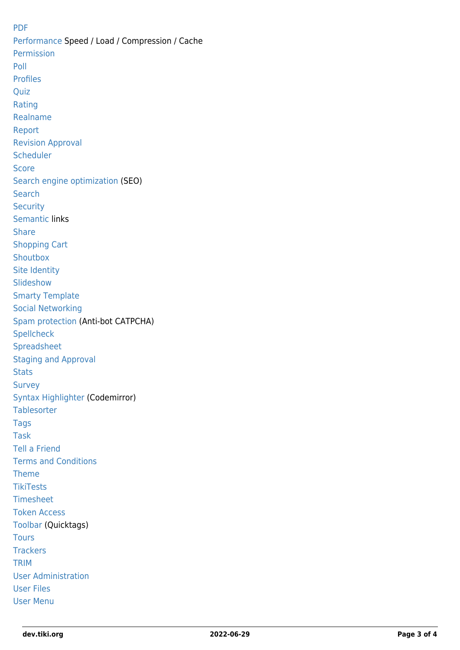[PDF](https://dev.tiki.org/PDF) [Performance](https://dev.tiki.org/Performance) Speed / Load / Compression / Cache [Permission](https://dev.tiki.org/Permission) [Poll](https://dev.tiki.org/Poll) [Profiles](https://dev.tiki.org/Profiles) **[Quiz](https://dev.tiki.org/Quiz)** [Rating](https://dev.tiki.org/Rating) [Realname](https://dev.tiki.org/Realname) [Report](https://dev.tiki.org/Report) [Revision Approval](https://dev.tiki.org/Revision-Approval) **[Scheduler](https://dev.tiki.org/Scheduler) [Score](https://dev.tiki.org/Score)** [Search engine optimization](https://dev.tiki.org/Search-engine-optimization) (SEO) **[Search](https://dev.tiki.org/Search) [Security](https://dev.tiki.org/Security)** [Semantic](https://dev.tiki.org/Semantic) links **[Share](https://dev.tiki.org/Share)** [Shopping Cart](https://dev.tiki.org/Shopping-Cart) **[Shoutbox](https://dev.tiki.org/Shoutbox)** [Site Identity](https://dev.tiki.org/Site-Identity) **[Slideshow](https://dev.tiki.org/Slideshow)** [Smarty Template](https://dev.tiki.org/Smarty-Template) [Social Networking](https://dev.tiki.org/Social-Networking) [Spam protection](https://dev.tiki.org/Spam-protection) (Anti-bot CATPCHA) **[Spellcheck](https://dev.tiki.org/Spellcheck)** [Spreadsheet](https://dev.tiki.org/Spreadsheet) [Staging and Approval](https://dev.tiki.org/Staging-and-Approval) **[Stats](https://dev.tiki.org/Stats)** [Survey](https://dev.tiki.org/Survey) [Syntax Highlighter](https://dev.tiki.org/Syntax%20Highlighter) (Codemirror) **[Tablesorter](https://dev.tiki.org/Tablesorter)** [Tags](https://dev.tiki.org/Tags) [Task](https://dev.tiki.org/Task) [Tell a Friend](https://dev.tiki.org/Tell-a-Friend) [Terms and Conditions](https://dev.tiki.org/Terms-and-Conditions) [Theme](https://dev.tiki.org/Theme) **[TikiTests](https://dev.tiki.org/TikiTests)** [Timesheet](https://dev.tiki.org/Timesheet) [Token Access](https://dev.tiki.org/Token-Access) [Toolbar](https://dev.tiki.org/Toolbar) (Quicktags) **[Tours](https://dev.tiki.org/Tours) [Trackers](https://dev.tiki.org/Trackers)** [TRIM](https://dev.tiki.org/TRIM) [User Administration](https://dev.tiki.org/User-Administration) [User Files](https://dev.tiki.org/User-Files) [User Menu](https://dev.tiki.org/User-Menu)